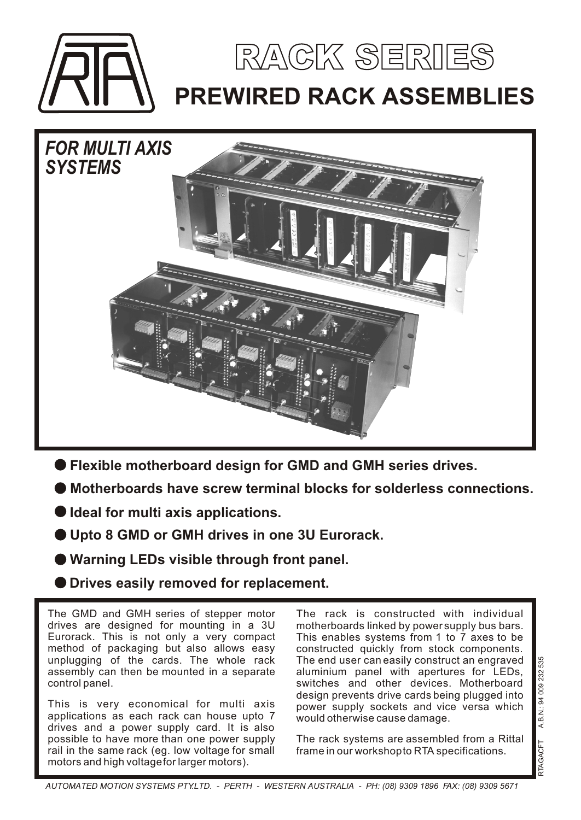



- **Flexible motherboard design for GMD and GMH series drives.**
- **Motherboards have screw terminal blocks for solderless connections.**
- **Ideal for multi axis applications.**
- **Upto 8 GMD or GMH drives in one 3U Eurorack.**
- **Warning LEDs visible through front panel.**
- **Drives easily removed for replacement.**

The GMD and GMH series of stepper motor drives are designed for mounting in a 3U Eurorack. This is not only a very compact method of packaging but also allows easy unplugging of the cards. The whole rack assembly can then be mounted in a separate control panel.

This is very economical for multi axis applications as each rack can house upto 7 drives and a power supply card. It is also possible to have more than one power supply rail in the same rack (eg. low voltage for small motors and high voltage for larger motors).

The rack is constructed with individual motherboards linked by power supply bus bars. This enables systems from 1 to 7 axes to be constructed quickly from stock components. The end user can easily construct an engraved aluminium panel with apertures for LEDs, switches and other devices. Motherboard design prevents drive cards being plugged into power supply sockets and vice versa which would otherwise cause damage.

The rack systems are assembled from a Rittal frame in our workshop to RTA specifications.

*AUTOMATED MOTION SYSTEMS PTY.LTD. - PERTH - WESTERN AUSTRALIA - PH: (08) 9309 1896 FAX: (08) 9309 5671*